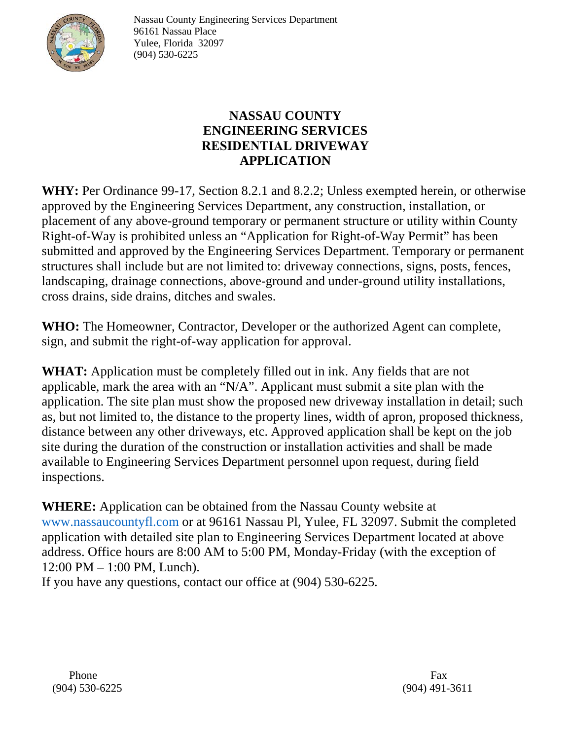

Nassau County Engineering Services Department 96161 Nassau Place Yulee, Florida 32097 (904) 530-6225

## **NASSAU COUNTY ENGINEERING SERVICES RESIDENTIAL DRIVEWAY APPLICATION**

**WHY:** Per Ordinance 99-17, Section 8.2.1 and 8.2.2; Unless exempted herein, or otherwise approved by the Engineering Services Department, any construction, installation, or placement of any above-ground temporary or permanent structure or utility within County Right-of-Way is prohibited unless an "Application for Right-of-Way Permit" has been submitted and approved by the Engineering Services Department. Temporary or permanent structures shall include but are not limited to: driveway connections, signs, posts, fences, landscaping, drainage connections, above-ground and under-ground utility installations, cross drains, side drains, ditches and swales.

**WHO:** The Homeowner, Contractor, Developer or the authorized Agent can complete, sign, and submit the right-of-way application for approval.

**WHAT:** Application must be completely filled out in ink. Any fields that are not applicable, mark the area with an "N/A". Applicant must submit a site plan with the application. The site plan must show the proposed new driveway installation in detail; such as, but not limited to, the distance to the property lines, width of apron, proposed thickness, distance between any other driveways, etc. Approved application shall be kept on the job site during the duration of the construction or installation activities and shall be made available to Engineering Services Department personnel upon request, during field inspections.

**WHERE:** Application can be obtained from the Nassau County website at www.nassaucountyfl.com or at 96161 Nassau Pl, Yulee, FL 32097. Submit the completed application with detailed site plan to Engineering Services Department located at above address. Office hours are 8:00 AM to 5:00 PM, Monday-Friday (with the exception of 12:00 PM – 1:00 PM, Lunch).

If you have any questions, contact our office at (904) 530-6225.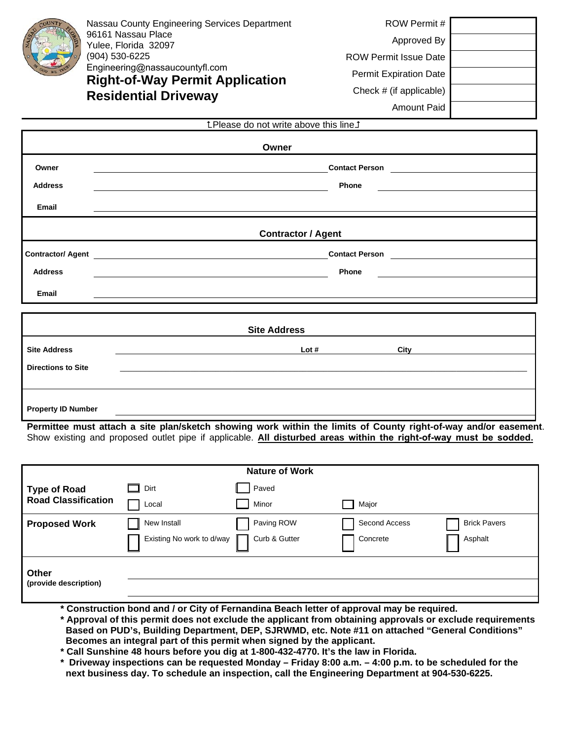

Nassau County Engineering Services Department 96161 Nassau Place Yulee, Florida 32097 (904) 530-6225 Engineering@nassaucountyfl.com **Right-of-Way Permit Application Residential Driveway** 

| ROW Permit #                  |  |
|-------------------------------|--|
| Approved By                   |  |
| <b>ROW Permit Issue Date</b>  |  |
| <b>Permit Expiration Date</b> |  |
| Check # (if applicable)       |  |
| Amount Paid                   |  |

|                           | <b>tPlease do not write above this line 1</b>                                                                         |  |  |  |
|---------------------------|-----------------------------------------------------------------------------------------------------------------------|--|--|--|
| Owner                     |                                                                                                                       |  |  |  |
| Owner                     | <u> 1980 - Johann Stoff, deutscher Stoff, der Stoff, der Stoff, der Stoff, der Stoff, der Stoff, der Stoff, der S</u> |  |  |  |
| <b>Address</b>            | Phone                                                                                                                 |  |  |  |
| Email                     |                                                                                                                       |  |  |  |
|                           | <b>Contractor / Agent</b>                                                                                             |  |  |  |
|                           |                                                                                                                       |  |  |  |
| <b>Address</b>            | Phone                                                                                                                 |  |  |  |
| Email                     |                                                                                                                       |  |  |  |
|                           | <b>Site Address</b>                                                                                                   |  |  |  |
| <b>Site Address</b>       | Lot#<br>City                                                                                                          |  |  |  |
| <b>Directions to Site</b> |                                                                                                                       |  |  |  |
|                           |                                                                                                                       |  |  |  |
| <b>Property ID Number</b> |                                                                                                                       |  |  |  |

**Permittee must attach a site plan/sketch showing work within the limits of County right-of-way and/or easement**. Show existing and proposed outlet pipe if applicable. **All disturbed areas within the right-of-way must be sodded.**

| <b>Nature of Work</b>          |                           |               |               |                     |
|--------------------------------|---------------------------|---------------|---------------|---------------------|
| <b>Type of Road</b>            | Dirt<br><b>Contract</b>   | Paved         |               |                     |
| <b>Road Classification</b>     | Local                     | Minor         | Major         |                     |
| <b>Proposed Work</b>           | New Install               | Paving ROW    | Second Access | <b>Brick Pavers</b> |
|                                | Existing No work to d/way | Curb & Gutter | Concrete      | Asphalt             |
| Other<br>(provide description) |                           |               |               |                     |
|                                |                           |               |               |                     |

**\* Construction bond and / or City of Fernandina Beach letter of approval may be required.**

**\* Approval of this permit does not exclude the applicant from obtaining approvals or exclude requirements Based on PUD's, Building Department, DEP, SJRWMD, etc. Note #11 on attached "General Conditions" Becomes an integral part of this permit when signed by the applicant.**

- **\* Call Sunshine 48 hours before you dig at 1-800-432-4770. It's the law in Florida.**
- **\* Driveway inspections can be requested Monday Friday 8:00 a.m. 4:00 p.m. to be scheduled for the next business day. To schedule an inspection, call the Engineering Department at 904-530-6225.**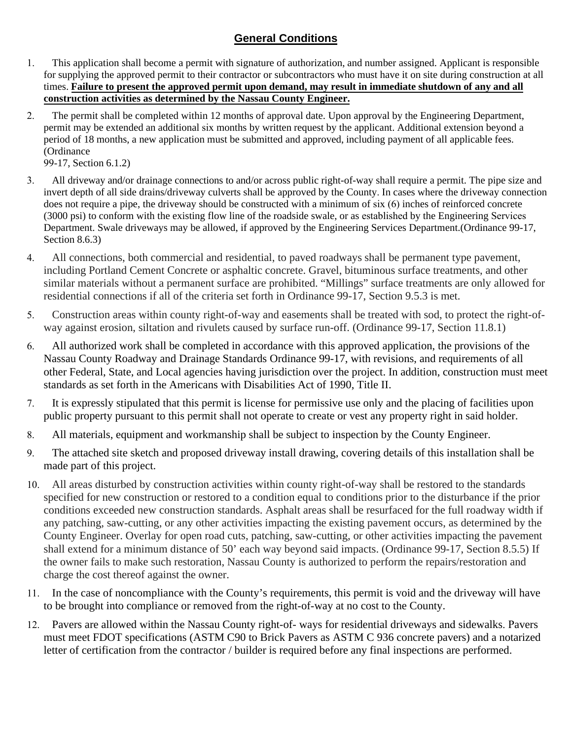### **General Conditions**

- 1. This application shall become a permit with signature of authorization, and number assigned. Applicant is responsible for supplying the approved permit to their contractor or subcontractors who must have it on site during construction at all times. **Failure to present the approved permit upon demand, may result in immediate shutdown of any and all construction activities as determined by the Nassau County Engineer.**
- 2. The permit shall be completed within 12 months of approval date. Upon approval by the Engineering Department, permit may be extended an additional six months by written request by the applicant. Additional extension beyond a period of 18 months, a new application must be submitted and approved, including payment of all applicable fees. (Ordinance

99-17, Section 6.1.2)

- 3. All driveway and/or drainage connections to and/or across public right-of-way shall require a permit. The pipe size and invert depth of all side drains/driveway culverts shall be approved by the County. In cases where the driveway connection does not require a pipe, the driveway should be constructed with a minimum of six (6) inches of reinforced concrete (3000 psi) to conform with the existing flow line of the roadside swale, or as established by the Engineering Services Department. Swale driveways may be allowed, if approved by the Engineering Services Department.(Ordinance 99-17, Section 8.6.3)
- 4. All connections, both commercial and residential, to paved roadways shall be permanent type pavement, including Portland Cement Concrete or asphaltic concrete. Gravel, bituminous surface treatments, and other similar materials without a permanent surface are prohibited. "Millings" surface treatments are only allowed for residential connections if all of the criteria set forth in Ordinance 99-17, Section 9.5.3 is met.
- 5. Construction areas within county right-of-way and easements shall be treated with sod, to protect the right-ofway against erosion, siltation and rivulets caused by surface run-off. (Ordinance 99-17, Section 11.8.1)
- 6. All authorized work shall be completed in accordance with this approved application, the provisions of the Nassau County Roadway and Drainage Standards Ordinance 99-17, with revisions, and requirements of all other Federal, State, and Local agencies having jurisdiction over the project. In addition, construction must meet standards as set forth in the Americans with Disabilities Act of 1990, Title II.
- 7. It is expressly stipulated that this permit is license for permissive use only and the placing of facilities upon public property pursuant to this permit shall not operate to create or vest any property right in said holder.
- 8. All materials, equipment and workmanship shall be subject to inspection by the County Engineer.
- 9. The attached site sketch and proposed driveway install drawing, covering details of this installation shall be made part of this project.
- 10. All areas disturbed by construction activities within county right-of-way shall be restored to the standards specified for new construction or restored to a condition equal to conditions prior to the disturbance if the prior conditions exceeded new construction standards. Asphalt areas shall be resurfaced for the full roadway width if any patching, saw-cutting, or any other activities impacting the existing pavement occurs, as determined by the County Engineer. Overlay for open road cuts, patching, saw-cutting, or other activities impacting the pavement shall extend for a minimum distance of 50' each way beyond said impacts. (Ordinance 99-17, Section 8.5.5) If the owner fails to make such restoration, Nassau County is authorized to perform the repairs/restoration and charge the cost thereof against the owner.
- 11. In the case of noncompliance with the County's requirements, this permit is void and the driveway will have to be brought into compliance or removed from the right-of-way at no cost to the County.
- 12. Pavers are allowed within the Nassau County right-of- ways for residential driveways and sidewalks. Pavers must meet FDOT specifications (ASTM C90 to Brick Pavers as ASTM C 936 concrete pavers) and a notarized letter of certification from the contractor / builder is required before any final inspections are performed.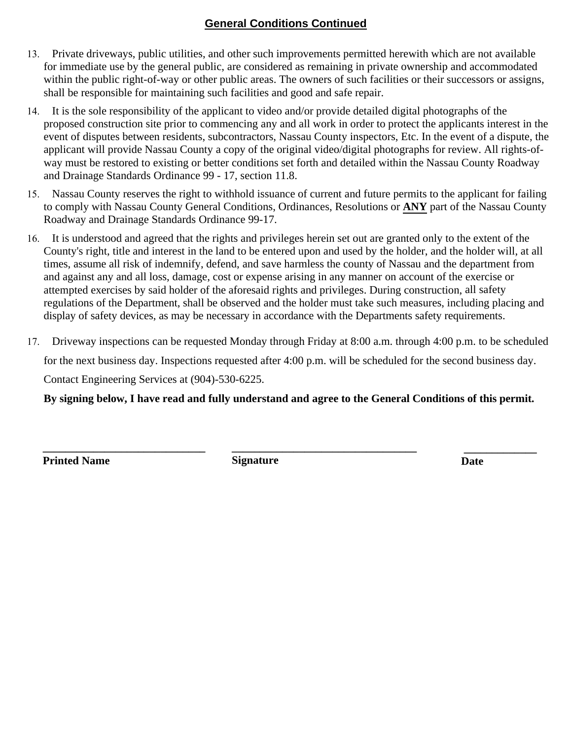### **General Conditions Continued**

- 13. Private driveways, public utilities, and other such improvements permitted herewith which are not available for immediate use by the general public, are considered as remaining in private ownership and accommodated within the public right-of-way or other public areas. The owners of such facilities or their successors or assigns, shall be responsible for maintaining such facilities and good and safe repair.
- 14. It is the sole responsibility of the applicant to video and/or provide detailed digital photographs of the proposed construction site prior to commencing any and all work in order to protect the applicants interest in the event of disputes between residents, subcontractors, Nassau County inspectors, Etc. In the event of a dispute, the applicant will provide Nassau County a copy of the original video/digital photographs for review. All rights-ofway must be restored to existing or better conditions set forth and detailed within the Nassau County Roadway and Drainage Standards Ordinance 99 - 17, section 11.8.
- 15. Nassau County reserves the right to withhold issuance of current and future permits to the applicant for failing to comply with Nassau County General Conditions, Ordinances, Resolutions or **ANY** part of the Nassau County Roadway and Drainage Standards Ordinance 99-17.
- 16. It is understood and agreed that the rights and privileges herein set out are granted only to the extent of the County's right, title and interest in the land to be entered upon and used by the holder, and the holder will, at all times, assume all risk of indemnify, defend, and save harmless the county of Nassau and the department from and against any and all loss, damage, cost or expense arising in any manner on account of the exercise or attempted exercises by said holder of the aforesaid rights and privileges. During construction, all safety regulations of the Department, shall be observed and the holder must take such measures, including placing and display of safety devices, as may be necessary in accordance with the Departments safety requirements.
- 17. Driveway inspections can be requested Monday through Friday at 8:00 a.m. through 4:00 p.m. to be scheduled for the next business day. Inspections requested after 4:00 p.m. will be scheduled for the second business day. Contact Engineering Services at (904)-530-6225.

**By signing below, I have read and fully understand and agree to the General Conditions of this permit.**

**\_\_\_\_\_\_\_\_\_\_\_\_\_\_\_\_\_\_\_\_\_\_\_\_\_\_\_\_\_ \_\_\_\_\_\_\_\_\_\_\_\_\_\_\_\_\_\_\_\_\_\_\_\_\_\_\_\_\_\_\_\_\_ \_\_\_\_\_\_\_\_\_\_\_\_\_ Printed Name Signature Signature Date**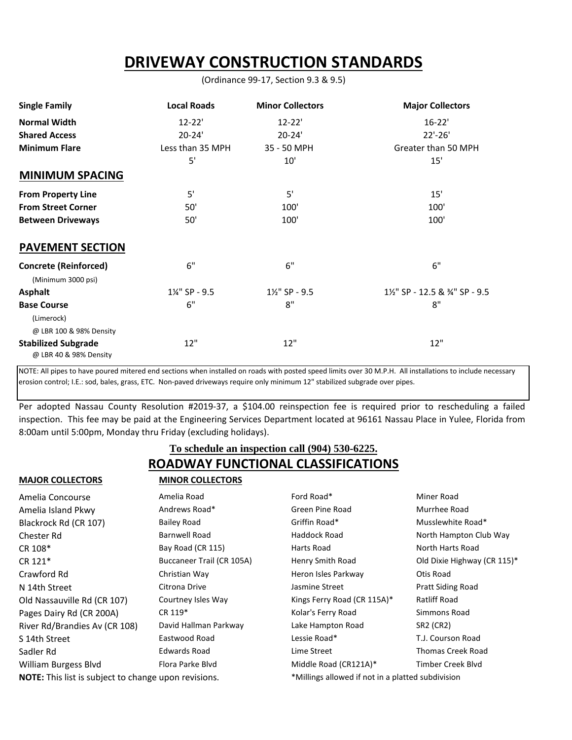# **DRIVEWAY CONSTRUCTION STANDARDS**

(Ordinance 99-17, Section 9.3 & 9.5)

| <b>Single Family</b>                                 | <b>Local Roads</b> | <b>Minor Collectors</b>   | <b>Major Collectors</b>         |
|------------------------------------------------------|--------------------|---------------------------|---------------------------------|
| <b>Normal Width</b>                                  | $12 - 22'$         | $12 - 22'$                | $16 - 22'$                      |
| <b>Shared Access</b>                                 | $20 - 24'$         | $20 - 24'$                | $22'-26'$                       |
| <b>Minimum Flare</b>                                 | Less than 35 MPH   | 35 - 50 MPH               | Greater than 50 MPH             |
|                                                      | 5'                 | 10'                       | 15'                             |
| <b>MINIMUM SPACING</b>                               |                    |                           |                                 |
| <b>From Property Line</b>                            | 5'                 | 5'                        | 15'                             |
| <b>From Street Corner</b>                            | 50'                | 100'                      | 100'                            |
| <b>Between Driveways</b>                             | 50'                | 100'                      | 100'                            |
| <b>PAVEMENT SECTION</b>                              |                    |                           |                                 |
| <b>Concrete (Reinforced)</b><br>(Minimum 3000 psi)   | 6"                 | 6"                        | 6"                              |
| <b>Asphalt</b>                                       | 1¼" SP - 9.5       | $1\frac{1}{2}$ " SP - 9.5 | 11/2" SP - 12.5 & 3/4" SP - 9.5 |
| <b>Base Course</b>                                   | 6"                 | 8"                        | 8"                              |
| (Limerock)                                           |                    |                           |                                 |
| @ LBR 100 & 98% Density                              |                    |                           |                                 |
| <b>Stabilized Subgrade</b><br>@ LBR 40 & 98% Density | 12"                | 12"                       | 12"                             |

NOTE: All pipes to have poured mitered end sections when installed on roads with posted speed limits over 30 M.P.H. All installations to include necessary erosion control; I.E.: sod, bales, grass, ETC. Non-paved driveways require only minimum 12" stabilized subgrade over pipes.

Per adopted Nassau County Resolution #2019-37, a \$104.00 reinspection fee is required prior to rescheduling a failed inspection. This fee may be paid at the Engineering Services Department located at 96161 Nassau Place in Yulee, Florida from 8:00am until 5:00pm, Monday thru Friday (excluding holidays).

### **ROADWAY FUNCTIONAL CLASSIFICATIONS To schedule an inspection call (904) 530-6225.**

#### **MAJOR COLLECTORS MINOR COLLECTORS**

|  | MINOR COLLECTORS |  |
|--|------------------|--|

| Amelia Concourse                                     | Amelia Road               | Ford Road*                  | Miner Road                                        |  |
|------------------------------------------------------|---------------------------|-----------------------------|---------------------------------------------------|--|
| Amelia Island Pkwy                                   | Andrews Road*             | Green Pine Road             | Murrhee Road                                      |  |
| Blackrock Rd (CR 107)                                | <b>Bailey Road</b>        | Griffin Road*               | Musslewhite Road*                                 |  |
| Chester Rd                                           | Barnwell Road             | Haddock Road                | North Hampton Club Way                            |  |
| CR 108*                                              | Bay Road (CR 115)         | Harts Road                  | North Harts Road                                  |  |
| CR 121*                                              | Buccaneer Trail (CR 105A) | Henry Smith Road            | Old Dixie Highway (CR 115)*                       |  |
| Crawford Rd                                          | Christian Way             | Heron Isles Parkway         | Otis Road                                         |  |
| N 14th Street                                        | Citrona Drive             | Jasmine Street              | <b>Pratt Siding Road</b>                          |  |
| Old Nassauville Rd (CR 107)                          | Courtney Isles Way        | Kings Ferry Road (CR 115A)* | Ratliff Road                                      |  |
| Pages Dairy Rd (CR 200A)                             | CR 119*                   | Kolar's Ferry Road          | Simmons Road                                      |  |
| River Rd/Brandies Av (CR 108)                        | David Hallman Parkway     | Lake Hampton Road           | SR2 (CR2)                                         |  |
| S 14th Street                                        | Eastwood Road             | Lessie Road*                | T.J. Courson Road                                 |  |
| Sadler Rd                                            | <b>Edwards Road</b>       | Lime Street                 | <b>Thomas Creek Road</b>                          |  |
| William Burgess Blvd                                 | Flora Parke Blyd          | Middle Road (CR121A)*       | Timber Creek Blyd                                 |  |
| NOTE: This list is subject to change upon revisions. |                           |                             | *Millings allowed if not in a platted subdivision |  |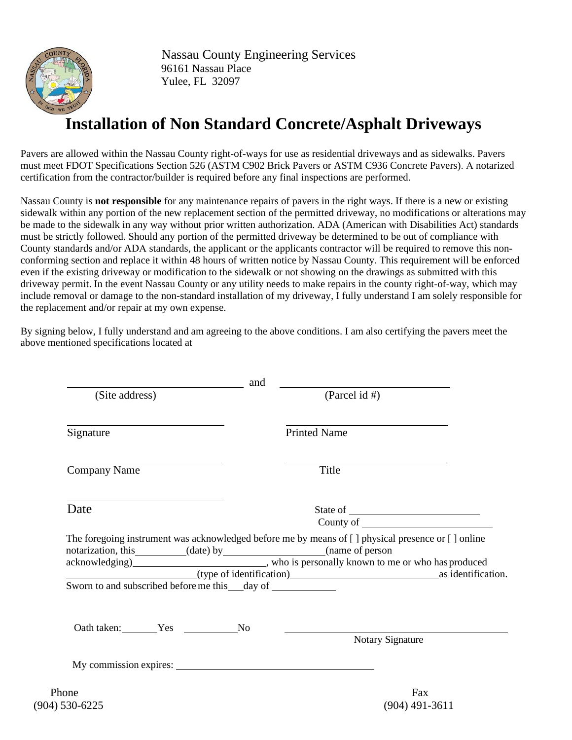

Nassau County Engineering Services 96161 Nassau Place Yulee, FL 32097

# **Installation of Non Standard Concrete/Asphalt Driveways**

Pavers are allowed within the Nassau County right-of-ways for use as residential driveways and as sidewalks. Pavers must meet FDOT Specifications Section 526 (ASTM C902 Brick Pavers or ASTM C936 Concrete Pavers). A notarized certification from the contractor/builder is required before any final inspections are performed.

Nassau County is **not responsible** for any maintenance repairs of pavers in the right ways. If there is a new or existing sidewalk within any portion of the new replacement section of the permitted driveway, no modifications or alterations may be made to the sidewalk in any way without prior written authorization. ADA (American with Disabilities Act) standards must be strictly followed. Should any portion of the permitted driveway be determined to be out of compliance with County standards and/or ADA standards, the applicant or the applicants contractor will be required to remove this nonconforming section and replace it within 48 hours of written notice by Nassau County. This requirement will be enforced even if the existing driveway or modification to the sidewalk or not showing on the drawings as submitted with this driveway permit. In the event Nassau County or any utility needs to make repairs in the county right-of-way, which may include removal or damage to the non-standard installation of my driveway, I fully understand I am solely responsible for the replacement and/or repair at my own expense.

By signing below, I fully understand and am agreeing to the above conditions. I am also certifying the pavers meet the above mentioned specifications located at

|                     | and                                                              |                                                                                                                                                                               |  |
|---------------------|------------------------------------------------------------------|-------------------------------------------------------------------------------------------------------------------------------------------------------------------------------|--|
| (Site address)      |                                                                  | (Parcel id #)                                                                                                                                                                 |  |
| Signature           |                                                                  | <b>Printed Name</b>                                                                                                                                                           |  |
| <b>Company Name</b> |                                                                  | Title                                                                                                                                                                         |  |
| Date                |                                                                  | County of                                                                                                                                                                     |  |
|                     |                                                                  | The foregoing instrument was acknowledged before me by means of [] physical presence or [] online<br>notarization, this __________(date) by __________________(name of person |  |
|                     | Sworn to and subscribed before me this ___ day of ______________ | (type of identification) as identification.                                                                                                                                   |  |
|                     |                                                                  |                                                                                                                                                                               |  |
| Oath taken: Yes No  |                                                                  | Notary Signature                                                                                                                                                              |  |
|                     |                                                                  | My commission expires:                                                                                                                                                        |  |
| Phone               |                                                                  | Fax                                                                                                                                                                           |  |

(904) 530-6225 (904) 491-3611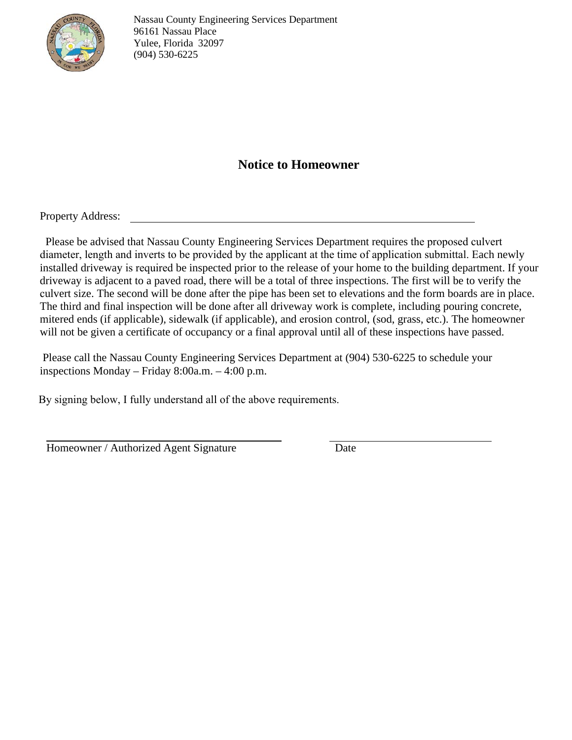

Nassau County Engineering Services Department 96161 Nassau Place Yulee, Florida 32097 (904) 530-6225

### **Notice to Homeowner**

Property Address:

Please be advised that Nassau County Engineering Services Department requires the proposed culvert diameter, length and inverts to be provided by the applicant at the time of application submittal. Each newly installed driveway is required be inspected prior to the release of your home to the building department. If your driveway is adjacent to a paved road, there will be a total of three inspections. The first will be to verify the culvert size. The second will be done after the pipe has been set to elevations and the form boards are in place. The third and final inspection will be done after all driveway work is complete, including pouring concrete, mitered ends (if applicable), sidewalk (if applicable), and erosion control, (sod, grass, etc.). The homeowner will not be given a certificate of occupancy or a final approval until all of these inspections have passed.

Please call the Nassau County Engineering Services Department at (904) 530-6225 to schedule your inspections Monday – Friday 8:00a.m. – 4:00 p.m.

By signing below, I fully understand all of the above requirements.

Homeowner / Authorized Agent Signature Date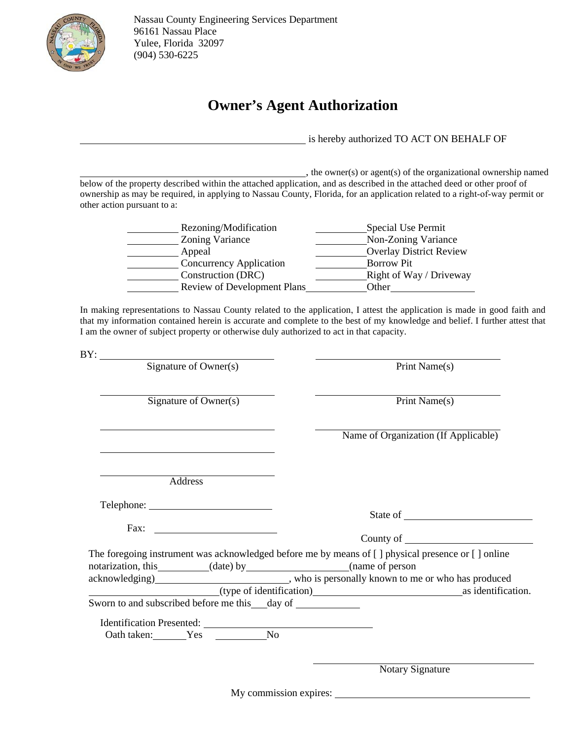

## **Owner's Agent Authorization**

is hereby authorized TO ACT ON BEHALF OF

, the owner(s) or agent(s) of the organizational ownership named below of the property described within the attached application, and as described in the attached deed or other proof of ownership as may be required, in applying to Nassau County, Florida, for an application related to a right-of-way permit or other action pursuant to a:

| Rezoning/Modification       | Special Use Permit             |
|-----------------------------|--------------------------------|
| Zoning Variance             | Non-Zoning Variance            |
| Appeal                      | <b>Overlay District Review</b> |
| Concurrency Application     | <b>Borrow</b> Pit              |
| Construction (DRC)          | Right of Way / Driveway        |
| Review of Development Plans | Other                          |

In making representations to Nassau County related to the application, I attest the application is made in good faith and that my information contained herein is accurate and complete to the best of my knowledge and belief. I further attest that I am the owner of subject property or otherwise duly authorized to act in that capacity.

 $BY:$ 

Signature of Owner(s) Print Name(s)

 $Signature of Owner(s)$  Print Name(s)

Name of Organization (If Applicable)

State of **State of** 

Address

Telephone:

Fax:

County of

|                    |                          |                    | The foregoing instrument was acknowledged before me by means of $\lceil \cdot \rceil$ physical presence or $\lceil \cdot \rceil$ online |                    |
|--------------------|--------------------------|--------------------|-----------------------------------------------------------------------------------------------------------------------------------------|--------------------|
| notarization, this |                          | $(\text{date})$ by | (name of person                                                                                                                         |                    |
| acknowledging)     |                          |                    | who is personally known to me or who has produced                                                                                       |                    |
|                    | (type of identification) |                    |                                                                                                                                         | as identification. |
| $\sim$             |                          |                    |                                                                                                                                         |                    |

Sworn to and subscribed before me this day of

Identification Presented: Oath taken: Yes No

Notary Signature

My commission expires: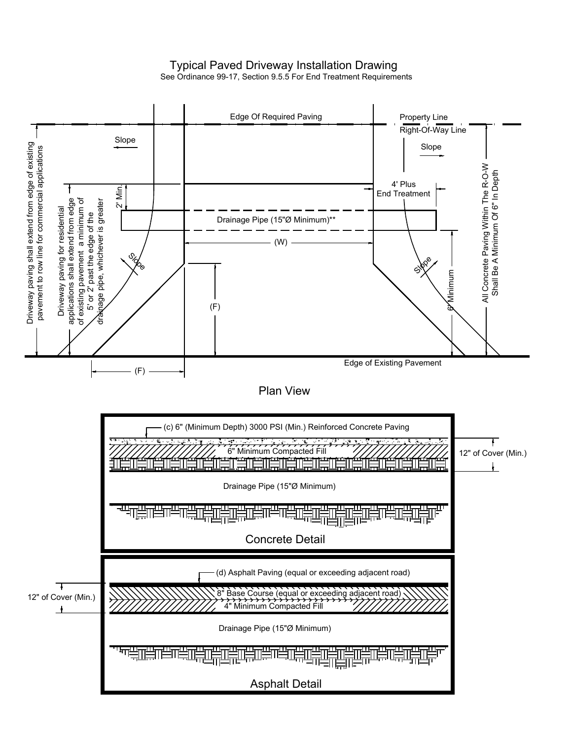### Typical Paved Driveway Installation Drawing

See Ordinance 99-17, Section 9.5.5 For End Treatment Requirements